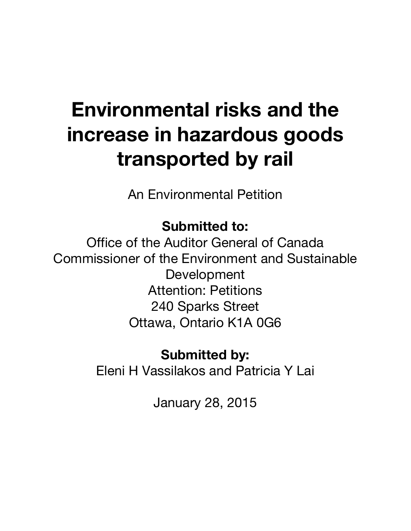# **Environmental risks and the increase in hazardous goods transported by rail**

An Environmental Petition

### **Submitted to:**

Office of the Auditor General of Canada Commissioner of the Environment and Sustainable Development Attention: Petitions 240 Sparks Street Ottawa, Ontario K1A 0G6

## **Submitted by:**

Eleni H Vassilakos and Patricia Y Lai

January 28, 2015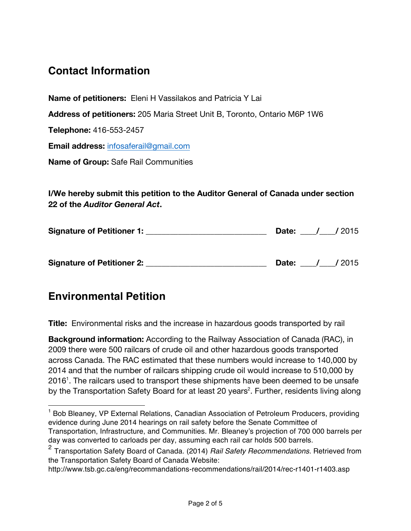#### **Contact Information**

**Name of petitioners:** Eleni H Vassilakos and Patricia Y Lai

**Address of petitioners:** 205 Maria Street Unit B, Toronto, Ontario M6P 1W6

**Telephone:** 416-553-2457

**Email address:** infosaferail@gmail.com

**Name of Group:** Safe Rail Communities

**I/We hereby submit this petition to the Auditor General of Canada under section 22 of the** *Auditor General Act***.**

| <b>Signature of Petitioner 1:</b> | Date: | /2015  |
|-----------------------------------|-------|--------|
| <b>Signature of Petitioner 2:</b> | Date: | / 2015 |

#### **Environmental Petition**

 $\overline{a}$ 

**Title:** Environmental risks and the increase in hazardous goods transported by rail

**Background information:** According to the Railway Association of Canada (RAC), in 2009 there were 500 railcars of crude oil and other hazardous goods transported across Canada. The RAC estimated that these numbers would increase to 140,000 by 2014 and that the number of railcars shipping crude oil would increase to 510,000 by 2016<sup>1</sup>. The railcars used to transport these shipments have been deemed to be unsafe by the Transportation Safety Board for at least 20 years<sup>2</sup>. Further, residents living along

<sup>&</sup>lt;sup>1</sup> Bob Bleaney, VP External Relations, Canadian Association of Petroleum Producers, providing evidence during June 2014 hearings on rail safety before the Senate Committee of Transportation, Infrastructure, and Communities. Mr. Bleaney's projection of 700 000 barrels per day was converted to carloads per day, assuming each rail car holds 500 barrels.

<sup>2</sup> Transportation Safety Board of Canada. (2014) *Rail Safety Recommendations.* Retrieved from the Transportation Safety Board of Canada Website:

http://www.tsb.gc.ca/eng/recommandations-recommendations/rail/2014/rec-r1401-r1403.asp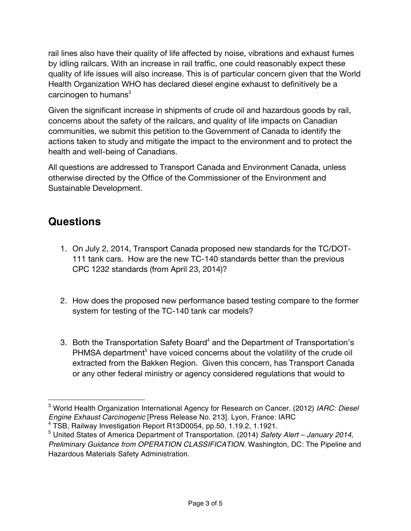rail lines also have their quality of life affected by noise, vibrations and exhaust fumes by idling railcars. With an increase in rail traffic, one could reasonably expect these quality of life issues will also increase. This is of particular concern given that the World Health Organization WHO has declared diesel engine exhaust to definitively be a carcinogen to humans $3$ 

Given the significant increase in shipments of crude oil and hazardous goods by rail, concerns about the safety of the railcars, and quality of life impacts on Canadian communities, we submit this petition to the Government of Canada to identify the actions taken to study and mitigate the impact to the environment and to protect the health and well-being of Canadians.

All questions are addressed to Transport Canada and Environment Canada, unless otherwise directed by the Office of the Commissioner of the Environment and Sustainable Development.

#### **Questions**

 $\overline{a}$ 

- 1. On July 2, 2014, Transport Canada proposed new standards for the TC/DOT-111 tank cars. How are the new TC-140 standards better than the previous CPC 1232 standards (from April 23, 2014)?
- 2. How does the proposed new performance based testing compare to the former system for testing of the TC-140 tank car models?
- 3. Both the Transportation Safety Board<sup>4</sup> and the Department of Transportation's PHMSA department<sup>5</sup> have voiced concerns about the volatility of the crude oil extracted from the Bakken Region. Given this concern, has Transport Canada or any other federal ministry or agency considered regulations that would to

<sup>3</sup> World Health Organization International Agency for Research on Cancer. (2012) *IARC: Diesel Engine Exhaust Carcinogenic* [Press Release No. 213]. Lyon, France: IARC

<sup>&</sup>lt;sup>5</sup> United States of America Department of Transportation. (2014) Safety Alert – January 2014, *Preliminary Guidance from OPERATION CLASSIFICATION.* Washington, DC: The Pipeline and Hazardous Materials Safety Administration.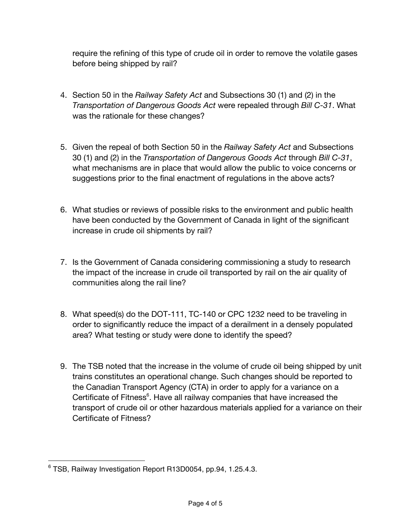require the refining of this type of crude oil in order to remove the volatile gases before being shipped by rail?

- 4. Section 50 in the *Railway Safety Act* and Subsections 30 (1) and (2) in the *Transportation of Dangerous Goods Act* were repealed through *Bill C-31*. What was the rationale for these changes?
- 5. Given the repeal of both Section 50 in the *Railway Safety Act* and Subsections 30 (1) and (2) in the *Transportation of Dangerous Goods Act* through *Bill C-31*, what mechanisms are in place that would allow the public to voice concerns or suggestions prior to the final enactment of regulations in the above acts?
- 6. What studies or reviews of possible risks to the environment and public health have been conducted by the Government of Canada in light of the significant increase in crude oil shipments by rail?
- 7. Is the Government of Canada considering commissioning a study to research the impact of the increase in crude oil transported by rail on the air quality of communities along the rail line?
- 8. What speed(s) do the DOT-111, TC-140 or CPC 1232 need to be traveling in order to significantly reduce the impact of a derailment in a densely populated area? What testing or study were done to identify the speed?
- 9. The TSB noted that the increase in the volume of crude oil being shipped by unit trains constitutes an operational change. Such changes should be reported to the Canadian Transport Agency (CTA) in order to apply for a variance on a Certificate of Fitness<sup>6</sup>. Have all railway companies that have increased the transport of crude oil or other hazardous materials applied for a variance on their Certificate of Fitness?

 $\overline{a}$ <sup>6</sup> TSB, Railway Investigation Report R13D0054, pp.94, 1.25.4.3.